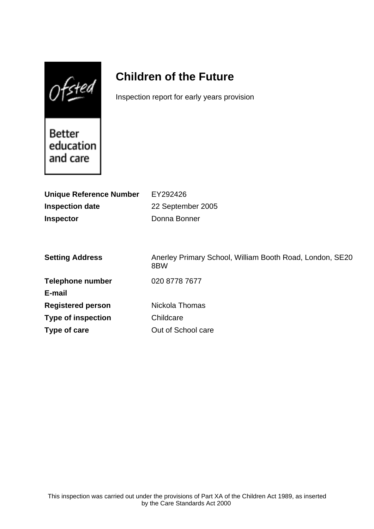$Of$ sted

# **Children of the Future**

Inspection report for early years provision

Better education and care

| EY292426                                                        |
|-----------------------------------------------------------------|
| 22 September 2005                                               |
| Donna Bonner                                                    |
|                                                                 |
|                                                                 |
| Anerley Primary School, William Booth Road, London, SE20<br>8BW |
| 020 8778 7677                                                   |
|                                                                 |
| Nickola Thomas                                                  |
| Childcare                                                       |
| Out of School care                                              |
|                                                                 |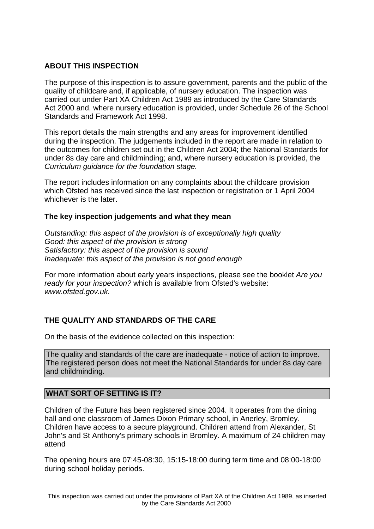### **ABOUT THIS INSPECTION**

The purpose of this inspection is to assure government, parents and the public of the quality of childcare and, if applicable, of nursery education. The inspection was carried out under Part XA Children Act 1989 as introduced by the Care Standards Act 2000 and, where nursery education is provided, under Schedule 26 of the School Standards and Framework Act 1998.

This report details the main strengths and any areas for improvement identified during the inspection. The judgements included in the report are made in relation to the outcomes for children set out in the Children Act 2004; the National Standards for under 8s day care and childminding; and, where nursery education is provided, the Curriculum guidance for the foundation stage.

The report includes information on any complaints about the childcare provision which Ofsted has received since the last inspection or registration or 1 April 2004 whichever is the later.

#### **The key inspection judgements and what they mean**

Outstanding: this aspect of the provision is of exceptionally high quality Good: this aspect of the provision is strong Satisfactory: this aspect of the provision is sound Inadequate: this aspect of the provision is not good enough

For more information about early years inspections, please see the booklet Are you ready for your inspection? which is available from Ofsted's website: www.ofsted.gov.uk.

# **THE QUALITY AND STANDARDS OF THE CARE**

On the basis of the evidence collected on this inspection:

The quality and standards of the care are inadequate - notice of action to improve. The registered person does not meet the National Standards for under 8s day care and childminding.

#### **WHAT SORT OF SETTING IS IT?**

Children of the Future has been registered since 2004. It operates from the dining hall and one classroom of James Dixon Primary school, in Anerley, Bromley. Children have access to a secure playground. Children attend from Alexander, St John's and St Anthony's primary schools in Bromley. A maximum of 24 children may attend

The opening hours are 07:45-08:30, 15:15-18:00 during term time and 08:00-18:00 during school holiday periods.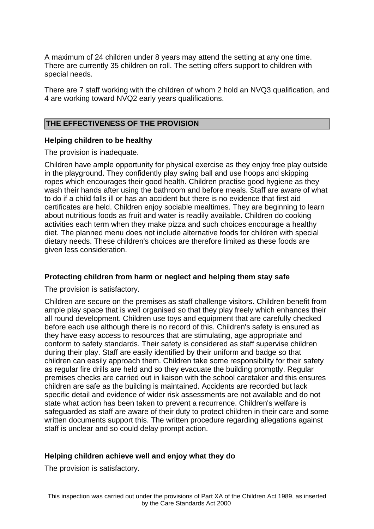A maximum of 24 children under 8 years may attend the setting at any one time. There are currently 35 children on roll. The setting offers support to children with special needs.

There are 7 staff working with the children of whom 2 hold an NVQ3 qualification, and 4 are working toward NVQ2 early years qualifications.

#### **THE EFFECTIVENESS OF THE PROVISION**

#### **Helping children to be healthy**

The provision is inadequate.

Children have ample opportunity for physical exercise as they enjoy free play outside in the playground. They confidently play swing ball and use hoops and skipping ropes which encourages their good health. Children practise good hygiene as they wash their hands after using the bathroom and before meals. Staff are aware of what to do if a child falls ill or has an accident but there is no evidence that first aid certificates are held. Children enjoy sociable mealtimes. They are beginning to learn about nutritious foods as fruit and water is readily available. Children do cooking activities each term when they make pizza and such choices encourage a healthy diet. The planned menu does not include alternative foods for children with special dietary needs. These children's choices are therefore limited as these foods are given less consideration.

#### **Protecting children from harm or neglect and helping them stay safe**

The provision is satisfactory.

Children are secure on the premises as staff challenge visitors. Children benefit from ample play space that is well organised so that they play freely which enhances their all round development. Children use toys and equipment that are carefully checked before each use although there is no record of this. Children's safety is ensured as they have easy access to resources that are stimulating, age appropriate and conform to safety standards. Their safety is considered as staff supervise children during their play. Staff are easily identified by their uniform and badge so that children can easily approach them. Children take some responsibility for their safety as regular fire drills are held and so they evacuate the building promptly. Regular premises checks are carried out in liaison with the school caretaker and this ensures children are safe as the building is maintained. Accidents are recorded but lack specific detail and evidence of wider risk assessments are not available and do not state what action has been taken to prevent a recurrence. Children's welfare is safeguarded as staff are aware of their duty to protect children in their care and some written documents support this. The written procedure regarding allegations against staff is unclear and so could delay prompt action.

#### **Helping children achieve well and enjoy what they do**

The provision is satisfactory.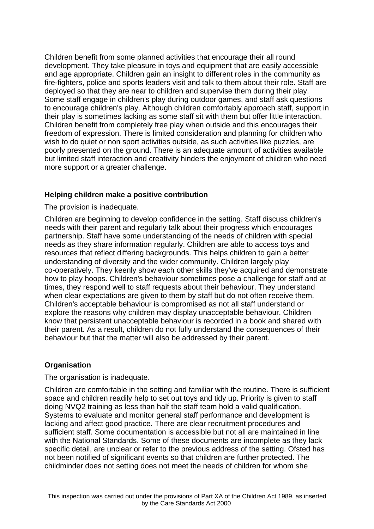Children benefit from some planned activities that encourage their all round development. They take pleasure in toys and equipment that are easily accessible and age appropriate. Children gain an insight to different roles in the community as fire-fighters, police and sports leaders visit and talk to them about their role. Staff are deployed so that they are near to children and supervise them during their play. Some staff engage in children's play during outdoor games, and staff ask questions to encourage children's play. Although children comfortably approach staff, support in their play is sometimes lacking as some staff sit with them but offer little interaction. Children benefit from completely free play when outside and this encourages their freedom of expression. There is limited consideration and planning for children who wish to do quiet or non sport activities outside, as such activities like puzzles, are poorly presented on the ground. There is an adequate amount of activities available but limited staff interaction and creativity hinders the enjoyment of children who need more support or a greater challenge.

#### **Helping children make a positive contribution**

The provision is inadequate.

Children are beginning to develop confidence in the setting. Staff discuss children's needs with their parent and regularly talk about their progress which encourages partnership. Staff have some understanding of the needs of children with special needs as they share information regularly. Children are able to access toys and resources that reflect differing backgrounds. This helps children to gain a better understanding of diversity and the wider community. Children largely play co-operatively. They keenly show each other skills they've acquired and demonstrate how to play hoops. Children's behaviour sometimes pose a challenge for staff and at times, they respond well to staff requests about their behaviour. They understand when clear expectations are given to them by staff but do not often receive them. Children's acceptable behaviour is compromised as not all staff understand or explore the reasons why children may display unacceptable behaviour. Children know that persistent unacceptable behaviour is recorded in a book and shared with their parent. As a result, children do not fully understand the consequences of their behaviour but that the matter will also be addressed by their parent.

# **Organisation**

The organisation is inadequate.

Children are comfortable in the setting and familiar with the routine. There is sufficient space and children readily help to set out toys and tidy up. Priority is given to staff doing NVQ2 training as less than half the staff team hold a valid qualification. Systems to evaluate and monitor general staff performance and development is lacking and affect good practice. There are clear recruitment procedures and sufficient staff. Some documentation is accessible but not all are maintained in line with the National Standards. Some of these documents are incomplete as they lack specific detail, are unclear or refer to the previous address of the setting. Ofsted has not been notified of significant events so that children are further protected. The childminder does not setting does not meet the needs of children for whom she